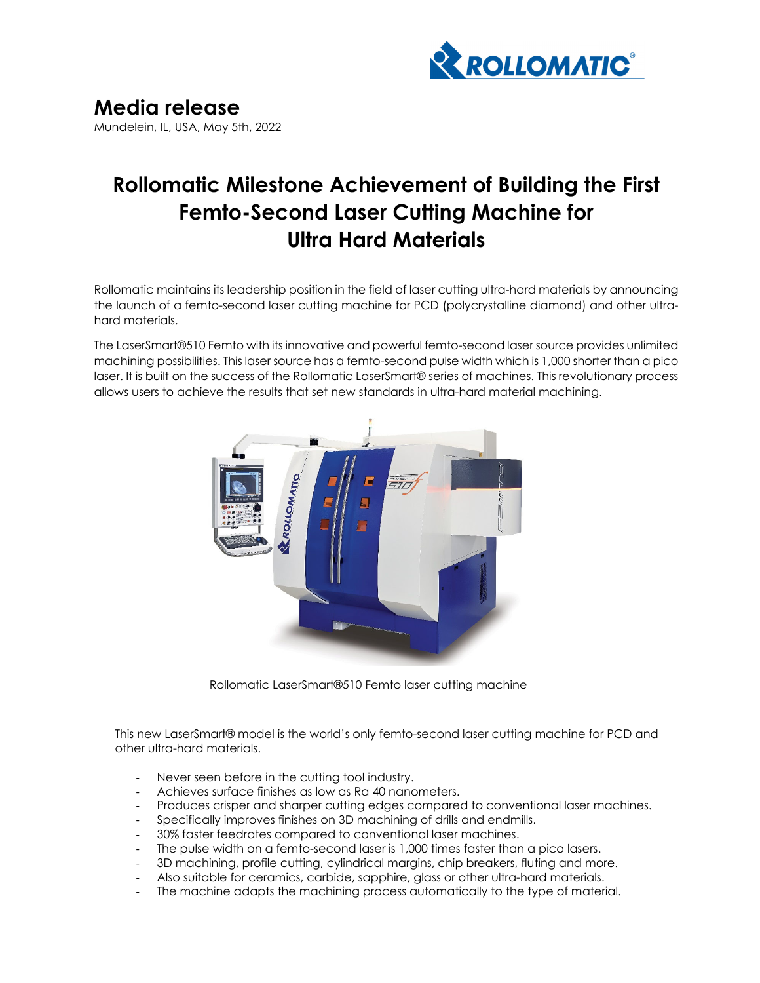

## **Rollomatic Milestone Achievement of Building the First Femto-Second Laser Cutting Machine for Ultra Hard Materials**

Rollomatic maintains its leadership position in the field of laser cutting ultra-hard materials by announcing the launch of a femto-second laser cutting machine for PCD (polycrystalline diamond) and other ultrahard materials.

The LaserSmart®510 Femto with its innovative and powerful femto-second laser source provides unlimited machining possibilities. This laser source has a femto-second pulse width which is 1,000 shorter than a pico laser. It is built on the success of the Rollomatic LaserSmart® series of machines. This revolutionary process allows users to achieve the results that set new standards in ultra-hard material machining.



Rollomatic LaserSmart®510 Femto laser cutting machine

This new LaserSmart® model is the world's only femto-second laser cutting machine for PCD and other ultra-hard materials.

- Never seen before in the cutting tool industry.
- ‐ Achieves surface finishes as low as Ra 40 nanometers.
- ‐ Produces crisper and sharper cutting edges compared to conventional laser machines.
- ‐ Specifically improves finishes on 3D machining of drills and endmills.
- ‐ 30% faster feedrates compared to conventional laser machines.
- ‐ The pulse width on a femto-second laser is 1,000 times faster than a pico lasers.
- ‐ 3D machining, profile cutting, cylindrical margins, chip breakers, fluting and more.
- ‐ Also suitable for ceramics, carbide, sapphire, glass or other ultra-hard materials.
- The machine adapts the machining process automatically to the type of material.